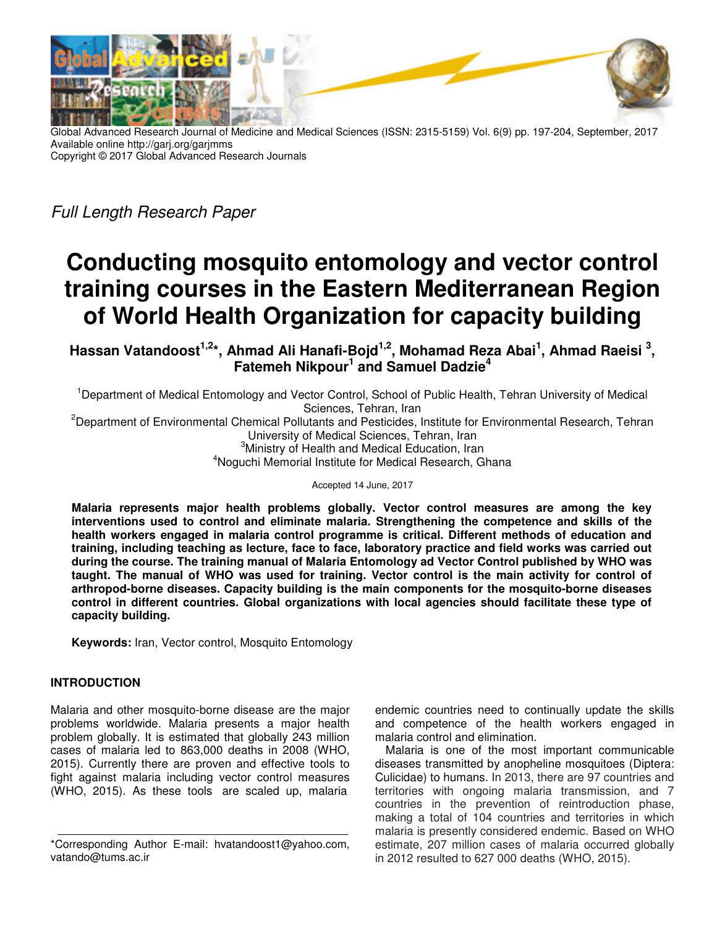

Global Advanced Research Journal of Medicine and Medical Sciences (ISSN: 2315-5159) Vol. 6(9) pp. 197-204, September, 2017 Available online http://garj.org/garjmms Copyright © 2017 Global Advanced Research Journals

Full Length Research Paper

# **Conducting mosquito entomology and vector control training courses in the Eastern Mediterranean Region of World Health Organization for capacity building**

**Hassan Vatandoost1,2\*, Ahmad Ali Hanafi-Bojd1,2, Mohamad Reza Abai<sup>1</sup> , Ahmad Raeisi <sup>3</sup> , Fatemeh Nikpour<sup>1</sup> and Samuel Dadzie<sup>4</sup>**

<sup>1</sup>Department of Medical Entomology and Vector Control, School of Public Health, Tehran University of Medical Sciences, Tehran, Iran <sup>2</sup>Department of Environmental Chemical Pollutants and Pesticides, Institute for Environmental Research, Tehran University of Medical Sciences, Tehran, Iran <sup>3</sup>Ministry of Health and Medical Education, Iran <sup>4</sup>Noguchi Memorial Institute for Medical Research, Ghana

Accepted 14 June, 2017

**Malaria represents major health problems globally. Vector control measures are among the key interventions used to control and eliminate malaria. Strengthening the competence and skills of the health workers engaged in malaria control programme is critical. Different methods of education and training, including teaching as lecture, face to face, laboratory practice and field works was carried out during the course. The training manual of Malaria Entomology ad Vector Control published by WHO was taught. The manual of WHO was used for training. Vector control is the main activity for control of arthropod-borne diseases. Capacity building is the main components for the mosquito-borne diseases control in different countries. Global organizations with local agencies should facilitate these type of capacity building.** 

**Keywords:** Iran, Vector control, Mosquito Entomology

## **INTRODUCTION**

Malaria and other mosquito-borne disease are the major problems worldwide. Malaria presents a major health problem globally. It is estimated that globally 243 million cases of malaria led to 863,000 deaths in 2008 (WHO, 2015). Currently there are proven and effective tools to fight against malaria including vector control measures (WHO, 2015). As these tools are scaled up, malaria

endemic countries need to continually update the skills and competence of the health workers engaged in malaria control and elimination.

Malaria is one of the most important communicable diseases transmitted by anopheline mosquitoes (Diptera: Culicidae) to humans. In 2013, there are 97 countries and territories with ongoing malaria transmission, and 7 countries in the prevention of reintroduction phase, making a total of 104 countries and territories in which malaria is presently considered endemic. Based on WHO estimate, 207 million cases of malaria occurred globally in 2012 resulted to 627 000 deaths (WHO, 2015).

<sup>\*</sup>Corresponding Author E-mail: hvatandoost1@yahoo.com, vatando@tums.ac.ir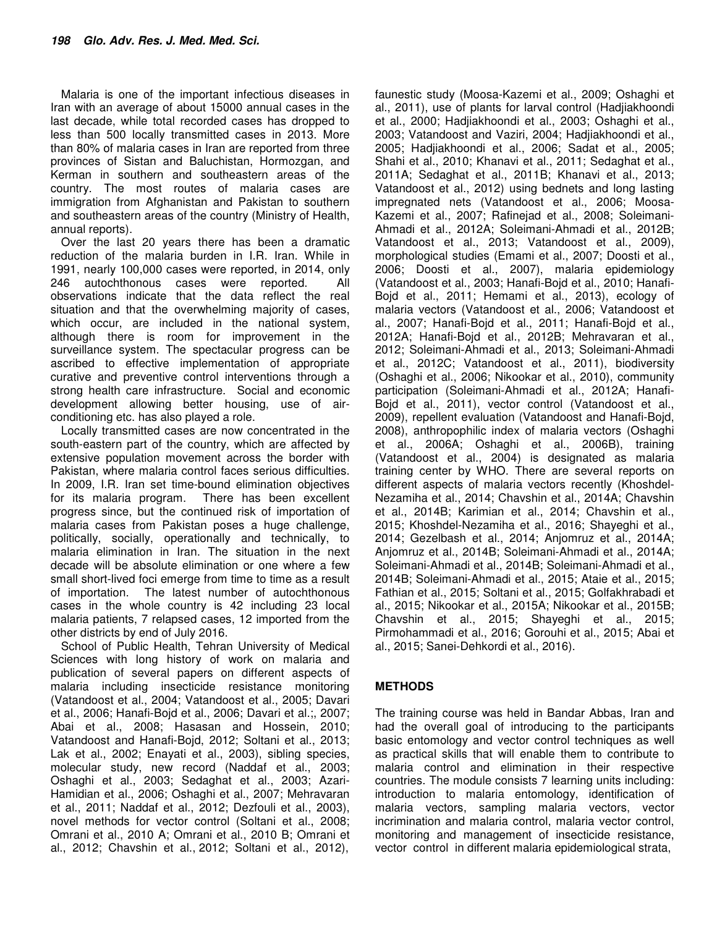Malaria is one of the important infectious diseases in Iran with an average of about 15000 annual cases in the last decade, while total recorded cases has dropped to less than 500 locally transmitted cases in 2013. More than 80% of malaria cases in Iran are reported from three provinces of Sistan and Baluchistan, Hormozgan, and Kerman in southern and southeastern areas of the country. The most routes of malaria cases are immigration from Afghanistan and Pakistan to southern and southeastern areas of the country (Ministry of Health, annual reports).

Over the last 20 years there has been a dramatic reduction of the malaria burden in I.R. Iran. While in 1991, nearly 100,000 cases were reported, in 2014, only 246 autochthonous cases were reported. All observations indicate that the data reflect the real situation and that the overwhelming majority of cases, which occur, are included in the national system, although there is room for improvement in the surveillance system. The spectacular progress can be ascribed to effective implementation of appropriate curative and preventive control interventions through a strong health care infrastructure. Social and economic development allowing better housing, use of airconditioning etc. has also played a role.

Locally transmitted cases are now concentrated in the south-eastern part of the country, which are affected by extensive population movement across the border with Pakistan, where malaria control faces serious difficulties. In 2009, I.R. Iran set time-bound elimination objectives for its malaria program. There has been excellent progress since, but the continued risk of importation of malaria cases from Pakistan poses a huge challenge, politically, socially, operationally and technically, to malaria elimination in Iran. The situation in the next decade will be absolute elimination or one where a few small short-lived foci emerge from time to time as a result of importation. The latest number of autochthonous cases in the whole country is 42 including 23 local malaria patients, 7 relapsed cases, 12 imported from the other districts by end of July 2016.

School of Public Health, Tehran University of Medical Sciences with long history of work on malaria and publication of several papers on different aspects of malaria including insecticide resistance monitoring (Vatandoost et al., 2004; Vatandoost et al., 2005; Davari et al., 2006; Hanafi-Bojd et al., 2006; Davari et al.;, 2007; Abai et al., 2008; Hasasan and Hossein, 2010; Vatandoost and Hanafi-Bojd, 2012; Soltani et al., 2013; Lak et al., 2002; Enayati et al., 2003), sibling species, molecular study, new record (Naddaf et al., 2003; Oshaghi et al., 2003; Sedaghat et al., 2003; Azari-Hamidian et al., 2006; Oshaghi et al., 2007; Mehravaran et al., 2011; Naddaf et al., 2012; Dezfouli et al., 2003), novel methods for vector control (Soltani et al., 2008; Omrani et al., 2010 A; Omrani et al., 2010 B; Omrani et al., 2012; Chavshin et al., 2012; Soltani et al., 2012),

faunestic study (Moosa-Kazemi et al., 2009; Oshaghi et al., 2011), use of plants for larval control (Hadjiakhoondi et al., 2000; Hadjiakhoondi et al., 2003; Oshaghi et al., 2003; Vatandoost and Vaziri, 2004; Hadjiakhoondi et al., 2005; Hadjiakhoondi et al., 2006; Sadat et al., 2005; Shahi et al., 2010; Khanavi et al., 2011; Sedaghat et al., 2011A; Sedaghat et al., 2011B; Khanavi et al., 2013; Vatandoost et al., 2012) using bednets and long lasting impregnated nets (Vatandoost et al., 2006; Moosa-Kazemi et al., 2007; Rafinejad et al., 2008; Soleimani-Ahmadi et al., 2012A; Soleimani-Ahmadi et al., 2012B; Vatandoost et al., 2013; Vatandoost et al., 2009), morphological studies (Emami et al., 2007; Doosti et al., 2006; Doosti et al., 2007), malaria epidemiology (Vatandoost et al., 2003; Hanafi-Bojd et al., 2010; Hanafi-Bojd et al., 2011; Hemami et al., 2013), ecology of malaria vectors (Vatandoost et al., 2006; Vatandoost et al., 2007; Hanafi-Bojd et al., 2011; Hanafi-Bojd et al., 2012A; Hanafi-Bojd et al., 2012B; Mehravaran et al., 2012; Soleimani-Ahmadi et al., 2013; Soleimani-Ahmadi et al., 2012C; Vatandoost et al., 2011), biodiversity (Oshaghi et al., 2006; Nikookar et al., 2010), community participation (Soleimani-Ahmadi et al., 2012A; Hanafi-Bojd et al., 2011), vector control (Vatandoost et al., 2009), repellent evaluation (Vatandoost and Hanafi-Bojd, 2008), anthropophilic index of malaria vectors (Oshaghi et al., 2006A; Oshaghi et al., 2006B), training (Vatandoost et al., 2004) is designated as malaria training center by WHO. There are several reports on different aspects of malaria vectors recently (Khoshdel-Nezamiha et al., 2014; Chavshin et al., 2014A; Chavshin et al., 2014B; Karimian et al., 2014; Chavshin et al., 2015; Khoshdel-Nezamiha et al., 2016; Shayeghi et al., 2014; Gezelbash et al., 2014; Anjomruz et al., 2014A; Anjomruz et al., 2014B; Soleimani-Ahmadi et al., 2014A; Soleimani-Ahmadi et al., 2014B; Soleimani-Ahmadi et al., 2014B; Soleimani-Ahmadi et al., 2015; Ataie et al., 2015; Fathian et al., 2015; Soltani et al., 2015; Golfakhrabadi et al., 2015; Nikookar et al., 2015A; Nikookar et al., 2015B; Chavshin et al., 2015; Shayeghi et al., 2015; Pirmohammadi et al., 2016; Gorouhi et al., 2015; Abai et al., 2015; Sanei-Dehkordi et al., 2016).

## **METHODS**

The training course was held in Bandar Abbas, Iran and had the overall goal of introducing to the participants basic entomology and vector control techniques as well as practical skills that will enable them to contribute to malaria control and elimination in their respective countries. The module consists 7 learning units including: introduction to malaria entomology, identification of malaria vectors, sampling malaria vectors, vector incrimination and malaria control, malaria vector control, monitoring and management of insecticide resistance, vector control in different malaria epidemiological strata,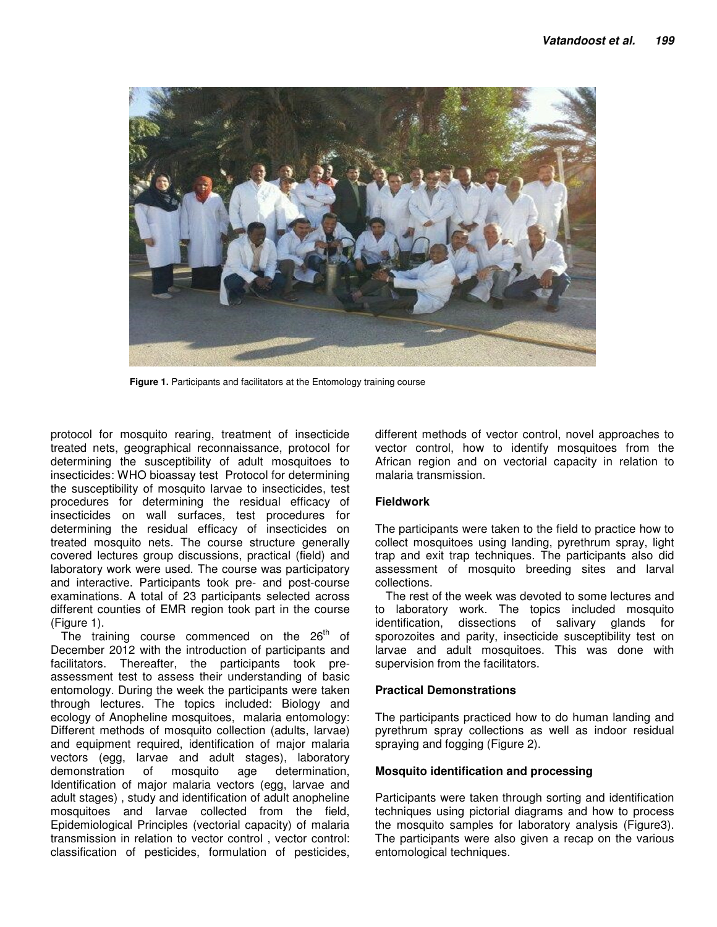

**Figure 1.** Participants and facilitators at the Entomology training course

protocol for mosquito rearing, treatment of insecticide treated nets, geographical reconnaissance, protocol for determining the susceptibility of adult mosquitoes to insecticides: WHO bioassay test Protocol for determining the susceptibility of mosquito larvae to insecticides, test procedures for determining the residual efficacy of insecticides on wall surfaces, test procedures for determining the residual efficacy of insecticides on treated mosquito nets. The course structure generally covered lectures group discussions, practical (field) and laboratory work were used. The course was participatory and interactive. Participants took pre- and post-course examinations. A total of 23 participants selected across different counties of EMR region took part in the course (Figure 1).

The training course commenced on the  $26<sup>th</sup>$  of December 2012 with the introduction of participants and facilitators. Thereafter, the participants took preassessment test to assess their understanding of basic entomology. During the week the participants were taken through lectures. The topics included: Biology and ecology of Anopheline mosquitoes, malaria entomology: Different methods of mosquito collection (adults, larvae) and equipment required, identification of major malaria vectors (egg, larvae and adult stages), laboratory demonstration of mosquito age determination, Identification of major malaria vectors (egg, larvae and adult stages) , study and identification of adult anopheline mosquitoes and larvae collected from the field, Epidemiological Principles (vectorial capacity) of malaria transmission in relation to vector control , vector control: classification of pesticides, formulation of pesticides,

different methods of vector control, novel approaches to vector control, how to identify mosquitoes from the African region and on vectorial capacity in relation to malaria transmission.

## **Fieldwork**

The participants were taken to the field to practice how to collect mosquitoes using landing, pyrethrum spray, light trap and exit trap techniques. The participants also did assessment of mosquito breeding sites and larval collections.

The rest of the week was devoted to some lectures and to laboratory work. The topics included mosquito identification, dissections of salivary glands for sporozoites and parity, insecticide susceptibility test on larvae and adult mosquitoes. This was done with supervision from the facilitators.

### **Practical Demonstrations**

The participants practiced how to do human landing and pyrethrum spray collections as well as indoor residual spraying and fogging (Figure 2).

### **Mosquito identification and processing**

Participants were taken through sorting and identification techniques using pictorial diagrams and how to process the mosquito samples for laboratory analysis (Figure3). The participants were also given a recap on the various entomological techniques.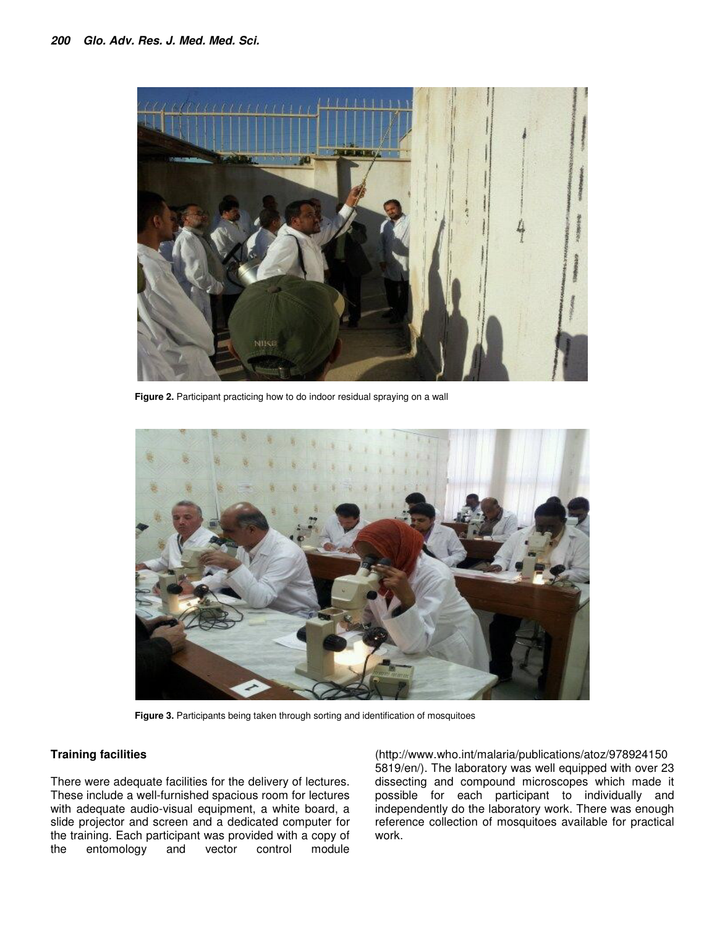

Figure 2. Participant practicing how to do indoor residual spraying on a wall



**Figure 3.** Participants being taken through sorting and identification of mosquitoes

### **Training facilities**

There were adequate facilities for the delivery of lectures. These include a well-furnished spacious room for lectures with adequate audio-visual equipment, a white board, a slide projector and screen and a dedicated computer for the training. Each participant was provided with a copy of the entomology and vector control module

(http://www.who.int/malaria/publications/atoz/978924150 5819/en/). The laboratory was well equipped with over 23 dissecting and compound microscopes which made it possible for each participant to individually and independently do the laboratory work. There was enough reference collection of mosquitoes available for practical work.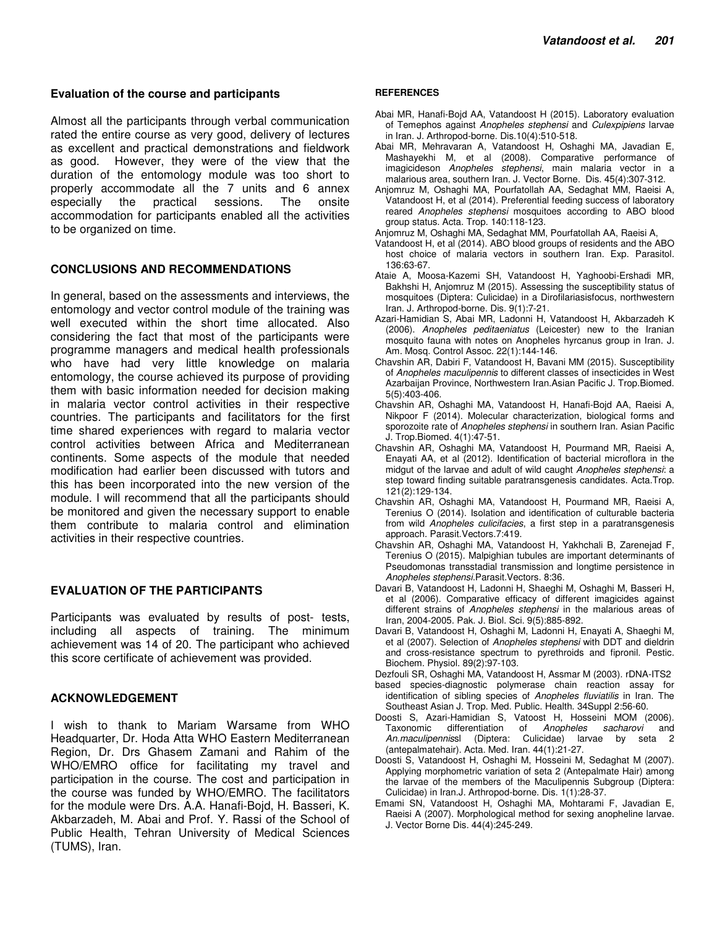#### **Evaluation of the course and participants**

Almost all the participants through verbal communication rated the entire course as very good, delivery of lectures as excellent and practical demonstrations and fieldwork as good. However, they were of the view that the duration of the entomology module was too short to properly accommodate all the 7 units and 6 annex especially the practical sessions. The onsite accommodation for participants enabled all the activities to be organized on time.

### **CONCLUSIONS AND RECOMMENDATIONS**

In general, based on the assessments and interviews, the entomology and vector control module of the training was well executed within the short time allocated. Also considering the fact that most of the participants were programme managers and medical health professionals who have had very little knowledge on malaria entomology, the course achieved its purpose of providing them with basic information needed for decision making in malaria vector control activities in their respective countries. The participants and facilitators for the first time shared experiences with regard to malaria vector control activities between Africa and Mediterranean continents. Some aspects of the module that needed modification had earlier been discussed with tutors and this has been incorporated into the new version of the module. I will recommend that all the participants should be monitored and given the necessary support to enable them contribute to malaria control and elimination activities in their respective countries.

### **EVALUATION OF THE PARTICIPANTS**

Participants was evaluated by results of post- tests, including all aspects of training. The minimum achievement was 14 of 20. The participant who achieved this score certificate of achievement was provided.

#### **ACKNOWLEDGEMENT**

I wish to thank to Mariam Warsame from WHO Headquarter, Dr. Hoda Atta WHO Eastern Mediterranean Region, Dr. Drs Ghasem Zamani and Rahim of the WHO/EMRO office for facilitating my travel and participation in the course. The cost and participation in the course was funded by WHO/EMRO. The facilitators for the module were Drs. A.A. Hanafi-Bojd, H. Basseri, K. Akbarzadeh, M. Abai and Prof. Y. Rassi of the School of Public Health, Tehran University of Medical Sciences (TUMS), Iran.

#### **REFERENCES**

- Abai MR, Hanafi-Bojd AA, Vatandoost H (2015). Laboratory evaluation of Temephos against Anopheles stephensi and Culexpipiens larvae in Iran. J. Arthropod-borne. Dis.10(4):510-518.
- Abai MR, Mehravaran A, Vatandoost H, Oshaghi MA, Javadian E, Mashayekhi M, et al (2008). Comparative performance of imagicideson Anopheles stephensi, main malaria vector in a malarious area, southern Iran. J. Vector Borne. Dis. 45(4):307-312.
- Anjomruz M, Oshaghi MA, Pourfatollah AA, Sedaghat MM, Raeisi A, Vatandoost H, et al (2014). Preferential feeding success of laboratory reared Anopheles stephensi mosquitoes according to ABO blood group status. Acta. Trop. 140:118-123.
- Anjomruz M, Oshaghi MA, Sedaghat MM, Pourfatollah AA, Raeisi A,
- Vatandoost H, et al (2014). ABO blood groups of residents and the ABO host choice of malaria vectors in southern Iran. Exp. Parasitol. 136:63-67.
- Ataie A, Moosa-Kazemi SH, Vatandoost H, Yaghoobi-Ershadi MR, Bakhshi H, Anjomruz M (2015). Assessing the susceptibility status of mosquitoes (Diptera: Culicidae) in a Dirofilariasisfocus, northwestern Iran. J. Arthropod-borne. Dis. 9(1):7-21.
- Azari-Hamidian S, Abai MR, Ladonni H, Vatandoost H, Akbarzadeh K (2006). Anopheles peditaeniatus (Leicester) new to the Iranian mosquito fauna with notes on Anopheles hyrcanus group in Iran. J. Am. Mosq. Control Assoc. 22(1):144-146.
- Chavshin AR, Dabiri F, Vatandoost H, Bavani MM (2015). Susceptibility of Anopheles maculipennis to different classes of insecticides in West Azarbaijan Province, Northwestern Iran.Asian Pacific J. Trop.Biomed. 5(5):403-406.
- Chavshin AR, Oshaghi MA, Vatandoost H, Hanafi-Bojd AA, Raeisi A, Nikpoor F (2014). Molecular characterization, biological forms and sporozoite rate of Anopheles stephensi in southern Iran. Asian Pacific J. Trop.Biomed. 4(1):47-51.
- Chavshin AR, Oshaghi MA, Vatandoost H, Pourmand MR, Raeisi A, Enayati AA, et al (2012). Identification of bacterial microflora in the midgut of the larvae and adult of wild caught Anopheles stephensi: a step toward finding suitable paratransgenesis candidates. Acta.Trop. 121(2):129-134.
- Chavshin AR, Oshaghi MA, Vatandoost H, Pourmand MR, Raeisi A, Terenius O (2014). Isolation and identification of culturable bacteria from wild Anopheles culicifacies, a first step in a paratransgenesis approach. Parasit.Vectors.7:419.
- Chavshin AR, Oshaghi MA, Vatandoost H, Yakhchali B, Zarenejad F, Terenius O (2015). Malpighian tubules are important determinants of Pseudomonas transstadial transmission and longtime persistence in Anopheles stephensi.Parasit.Vectors. 8:36.
- Davari B, Vatandoost H, Ladonni H, Shaeghi M, Oshaghi M, Basseri H, et al (2006). Comparative efficacy of different imagicides against different strains of Anopheles stephensi in the malarious areas of Iran, 2004-2005. Pak. J. Biol. Sci. 9(5):885-892.
- Davari B, Vatandoost H, Oshaghi M, Ladonni H, Enayati A, Shaeghi M, et al (2007). Selection of Anopheles stephensi with DDT and dieldrin and cross-resistance spectrum to pyrethroids and fipronil. Pestic. Biochem. Physiol. 89(2):97-103.
- Dezfouli SR, Oshaghi MA, Vatandoost H, Assmar M (2003). rDNA-ITS2 based species-diagnostic polymerase chain reaction assay for identification of sibling species of Anopheles fluviatilis in Iran. The
- Southeast Asian J. Trop. Med. Public. Health. 34Suppl 2:56-60.
- Doosti S, Azari-Hamidian S, Vatoost H, Hosseini MOM (2006).<br>Taxonomic differentiation of Anopheles sacharovi and Taxonomic differentiation of Anopheles sacharovi and<br>An.maculipennissl (Diptera: Culicidae) larvae by seta 2 An.maculipennissl (Diptera: Culicidae) larvae by (antepalmatehair). Acta. Med. Iran. 44(1):21-27.
- Doosti S, Vatandoost H, Oshaghi M, Hosseini M, Sedaghat M (2007). Applying morphometric variation of seta 2 (Antepalmate Hair) among the larvae of the members of the Maculipennis Subgroup (Diptera: Culicidae) in Iran.J. Arthropod-borne. Dis. 1(1):28-37.
- Emami SN, Vatandoost H, Oshaghi MA, Mohtarami F, Javadian E, Raeisi A (2007). Morphological method for sexing anopheline larvae. J. Vector Borne Dis. 44(4):245-249.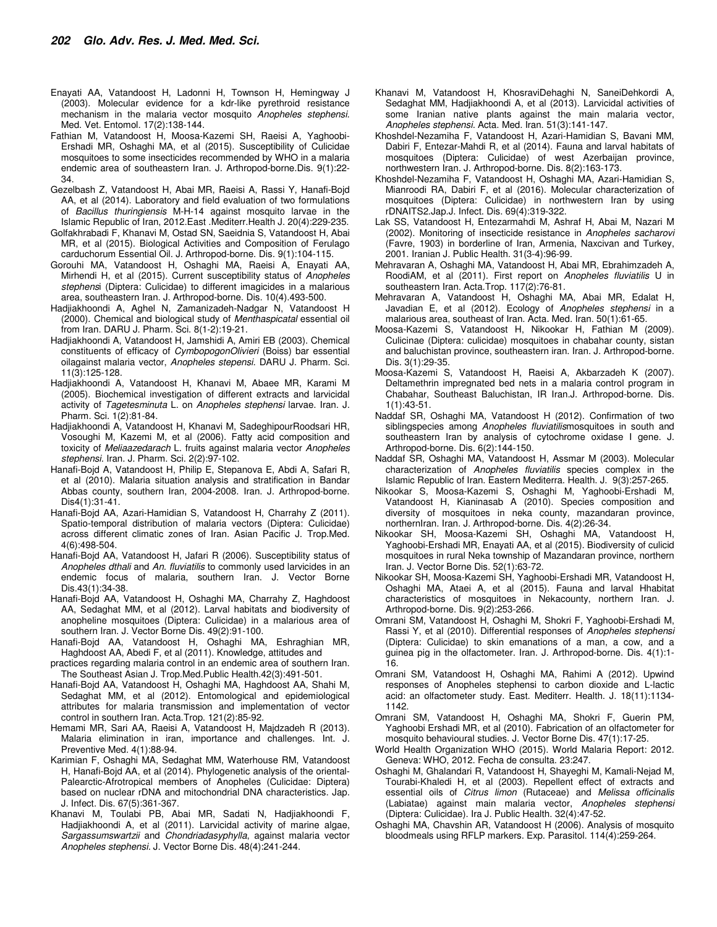- Enayati AA, Vatandoost H, Ladonni H, Townson H, Hemingway J (2003). Molecular evidence for a kdr-like pyrethroid resistance mechanism in the malaria vector mosquito Anopheles stephensi. Med. Vet. Entomol. 17(2):138-144.
- Fathian M, Vatandoost H, Moosa-Kazemi SH, Raeisi A, Yaghoobi-Ershadi MR, Oshaghi MA, et al (2015). Susceptibility of Culicidae mosquitoes to some insecticides recommended by WHO in a malaria endemic area of southeastern Iran. J. Arthropod-borne.Dis. 9(1):22- 34.
- Gezelbash Z, Vatandoost H, Abai MR, Raeisi A, Rassi Y, Hanafi-Bojd AA, et al (2014). Laboratory and field evaluation of two formulations of Bacillus thuringiensis M-H-14 against mosquito larvae in the Islamic Republic of Iran, 2012.East .Mediterr.Health J. 20(4):229-235.
- Golfakhrabadi F, Khanavi M, Ostad SN, Saeidnia S, Vatandoost H, Abai MR, et al (2015). Biological Activities and Composition of Ferulago carduchorum Essential Oil. J. Arthropod-borne. Dis. 9(1):104-115.
- Gorouhi MA, Vatandoost H, Oshaghi MA, Raeisi A, Enayati AA, Mirhendi H, et al (2015). Current susceptibility status of Anopheles stephensi (Diptera: Culicidae) to different imagicides in a malarious area, southeastern Iran. J. Arthropod-borne. Dis. 10(4).493-500.
- Hadjiakhoondi A, Aghel N, Zamanizadeh-Nadgar N, Vatandoost H (2000). Chemical and biological study of Menthaspicatal essential oil from Iran. DARU J. Pharm. Sci. 8(1-2):19-21.
- Hadjiakhoondi A, Vatandoost H, Jamshidi A, Amiri EB (2003). Chemical constituents of efficacy of CymbopogonOlivieri (Boiss) bar essential oilagainst malaria vector, Anopheles stepensi. DARU J. Pharm. Sci. 11(3):125-128.
- Hadjiakhoondi A, Vatandoost H, Khanavi M, Abaee MR, Karami M (2005). Biochemical investigation of different extracts and larvicidal activity of Tagetesminuta L. on Anopheles stephensi larvae. Iran. J. Pharm. Sci. 1(2):81-84.
- Hadjiakhoondi A, Vatandoost H, Khanavi M, SadeghipourRoodsari HR, Vosoughi M, Kazemi M, et al (2006). Fatty acid composition and toxicity of Meliaazedarach L. fruits against malaria vector Anopheles stephensi. Iran. J. Pharm. Sci. 2(2):97-102.
- Hanafi-Bojd A, Vatandoost H, Philip E, Stepanova E, Abdi A, Safari R, et al (2010). Malaria situation analysis and stratification in Bandar Abbas county, southern Iran, 2004-2008. Iran. J. Arthropod-borne. Dis4(1):31-41.
- Hanafi-Bojd AA, Azari-Hamidian S, Vatandoost H, Charrahy Z (2011). Spatio-temporal distribution of malaria vectors (Diptera: Culicidae) across different climatic zones of Iran. Asian Pacific J. Trop.Med. 4(6):498-504.
- Hanafi-Bojd AA, Vatandoost H, Jafari R (2006). Susceptibility status of Anopheles dthali and An. fluviatilis to commonly used larvicides in an endemic focus of malaria, southern Iran. J. Vector Borne Dis.43(1):34-38.
- Hanafi-Bojd AA, Vatandoost H, Oshaghi MA, Charrahy Z, Haghdoost AA, Sedaghat MM, et al (2012). Larval habitats and biodiversity of anopheline mosquitoes (Diptera: Culicidae) in a malarious area of southern Iran. J. Vector Borne Dis. 49(2):91-100.
- Hanafi-Bojd AA, Vatandoost H, Oshaghi MA, Eshraghian MR, Haghdoost AA, Abedi F, et al (2011). Knowledge, attitudes and
- practices regarding malaria control in an endemic area of southern Iran. The Southeast Asian J. Trop.Med.Public Health.42(3):491-501.
- Hanafi-Bojd AA, Vatandoost H, Oshaghi MA, Haghdoost AA, Shahi M, Sedaghat MM, et al (2012). Entomological and epidemiological attributes for malaria transmission and implementation of vector control in southern Iran. Acta.Trop. 121(2):85-92.
- Hemami MR, Sari AA, Raeisi A, Vatandoost H, Majdzadeh R (2013). Malaria elimination in iran, importance and challenges. Int. J. Preventive Med. 4(1):88-94.
- Karimian F, Oshaghi MA, Sedaghat MM, Waterhouse RM, Vatandoost H, Hanafi-Bojd AA, et al (2014). Phylogenetic analysis of the oriental-Palearctic-Afrotropical members of Anopheles (Culicidae: Diptera) based on nuclear rDNA and mitochondrial DNA characteristics. Jap. J. Infect. Dis. 67(5):361-367.
- Khanavi M, Toulabi PB, Abai MR, Sadati N, Hadjiakhoondi F, Hadjiakhoondi A, et al (2011). Larvicidal activity of marine algae, Sargassumswartzii and Chondriadasyphylla, against malaria vector Anopheles stephensi. J. Vector Borne Dis. 48(4):241-244.
- Khanavi M, Vatandoost H, KhosraviDehaghi N, SaneiDehkordi A, Sedaghat MM, Hadjiakhoondi A, et al (2013). Larvicidal activities of some Iranian native plants against the main malaria vector, Anopheles stephensi. Acta. Med. Iran. 51(3):141-147.
- Khoshdel-Nezamiha F, Vatandoost H, Azari-Hamidian S, Bavani MM, Dabiri F, Entezar-Mahdi R, et al (2014). Fauna and larval habitats of mosquitoes (Diptera: Culicidae) of west Azerbaijan province, northwestern Iran. J. Arthropod-borne. Dis. 8(2):163-173.
- Khoshdel-Nezamiha F, Vatandoost H, Oshaghi MA, Azari-Hamidian S, Mianroodi RA, Dabiri F, et al (2016). Molecular characterization of mosquitoes (Diptera: Culicidae) in northwestern Iran by using rDNAITS2.Jap.J. Infect. Dis. 69(4):319-322.
- Lak SS, Vatandoost H, Entezarmahdi M, Ashraf H, Abai M, Nazari M (2002). Monitoring of insecticide resistance in Anopheles sacharovi (Favre, 1903) in borderline of Iran, Armenia, Naxcivan and Turkey, 2001. Iranian J. Public Health. 31(3-4):96-99.
- Mehravaran A, Oshaghi MA, Vatandoost H, Abai MR, Ebrahimzadeh A, RoodiAM, et al (2011). First report on Anopheles fluviatilis U in southeastern Iran. Acta.Trop. 117(2):76-81.
- Mehravaran A, Vatandoost H, Oshaghi MA, Abai MR, Edalat H, Javadian E, et al (2012). Ecology of Anopheles stephensi in a malarious area, southeast of Iran. Acta. Med. Iran. 50(1):61-65.
- Moosa-Kazemi S, Vatandoost H, Nikookar H, Fathian M (2009). Culicinae (Diptera: culicidae) mosquitoes in chabahar county, sistan and baluchistan province, southeastern iran. Iran. J. Arthropod-borne. Dis. 3(1):29-35.
- Moosa-Kazemi S, Vatandoost H, Raeisi A, Akbarzadeh K (2007). Deltamethrin impregnated bed nets in a malaria control program in Chabahar, Southeast Baluchistan, IR Iran.J. Arthropod-borne. Dis. 1(1):43-51.
- Naddaf SR, Oshaghi MA, Vatandoost H (2012). Confirmation of two siblingspecies among Anopheles fluviatilismosquitoes in south and southeastern Iran by analysis of cytochrome oxidase I gene. J. Arthropod-borne. Dis. 6(2):144-150.
- Naddaf SR, Oshaghi MA, Vatandoost H, Assmar M (2003). Molecular characterization of Anopheles fluviatilis species complex in the Islamic Republic of Iran. Eastern Mediterra. Health. J. 9(3):257-265.
- Nikookar S, Moosa-Kazemi S, Oshaghi M, Yaghoobi-Ershadi M, Vatandoost H, Kianinasab A (2010). Species composition and diversity of mosquitoes in neka county, mazandaran province, northernIran. Iran. J. Arthropod-borne. Dis. 4(2):26-34.
- Nikookar SH, Moosa-Kazemi SH, Oshaghi MA, Vatandoost H, Yaghoobi-Ershadi MR, Enayati AA, et al (2015). Biodiversity of culicid mosquitoes in rural Neka township of Mazandaran province, northern Iran. J. Vector Borne Dis. 52(1):63-72.
- Nikookar SH, Moosa-Kazemi SH, Yaghoobi-Ershadi MR, Vatandoost H, Oshaghi MA, Ataei A, et al (2015). Fauna and larval Hhabitat characteristics of mosquitoes in Nekacounty, northern Iran. J. Arthropod-borne. Dis. 9(2):253-266.
- Omrani SM, Vatandoost H, Oshaghi M, Shokri F, Yaghoobi-Ershadi M, Rassi Y, et al (2010). Differential responses of Anopheles stephensi (Diptera: Culicidae) to skin emanations of a man, a cow, and a guinea pig in the olfactometer. Iran. J. Arthropod-borne. Dis. 4(1):1- 16.
- Omrani SM, Vatandoost H, Oshaghi MA, Rahimi A (2012). Upwind responses of Anopheles stephensi to carbon dioxide and L-lactic acid: an olfactometer study. East. Mediterr. Health. J. 18(11):1134- 1142.
- Omrani SM, Vatandoost H, Oshaghi MA, Shokri F, Guerin PM, Yaghoobi Ershadi MR, et al (2010). Fabrication of an olfactometer for mosquito behavioural studies. J. Vector Borne Dis. 47(1):17-25.
- World Health Organization WHO (2015). World Malaria Report: 2012. Geneva: WHO, 2012. Fecha de consulta. 23:247.
- Oshaghi M, Ghalandari R, Vatandoost H, Shayeghi M, Kamali-Nejad M, Tourabi-Khaledi H, et al (2003). Repellent effect of extracts and essential oils of Citrus limon (Rutaceae) and Melissa officinalis (Labiatae) against main malaria vector, Anopheles stephensi (Diptera: Culicidae). Ira J. Public Health. 32(4):47-52.
- Oshaghi MA, Chavshin AR, Vatandoost H (2006). Analysis of mosquito bloodmeals using RFLP markers. Exp. Parasitol. 114(4):259-264.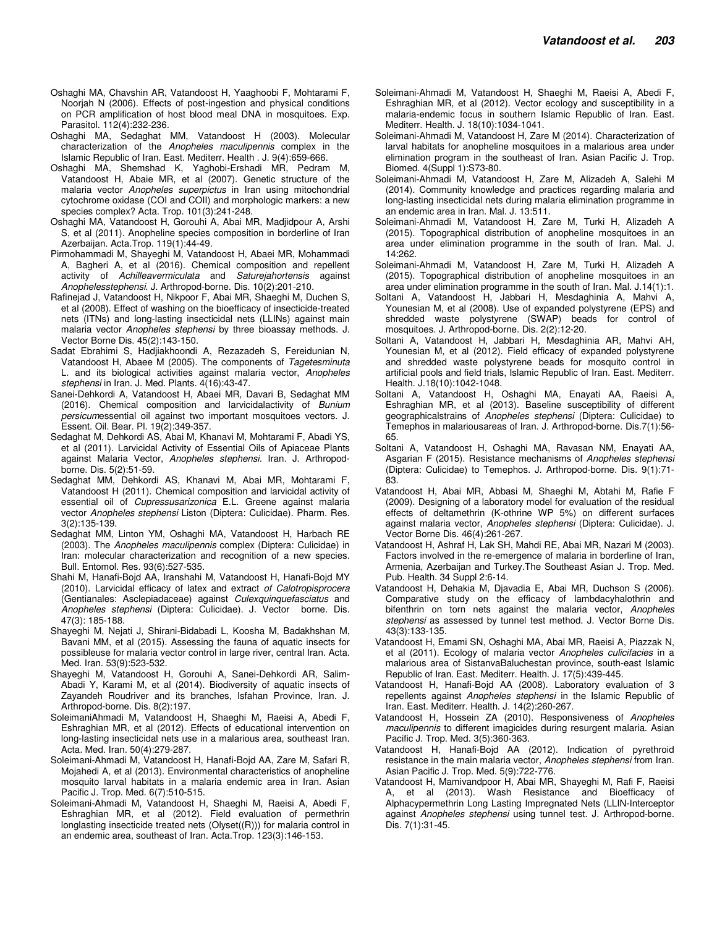- Oshaghi MA, Chavshin AR, Vatandoost H, Yaaghoobi F, Mohtarami F, Noorjah N (2006). Effects of post-ingestion and physical conditions on PCR amplification of host blood meal DNA in mosquitoes. Exp. Parasitol. 112(4):232-236.
- Oshaghi MA, Sedaghat MM, Vatandoost H (2003). Molecular characterization of the Anopheles maculipennis complex in the Islamic Republic of Iran. East. Mediterr. Health . J. 9(4):659-666.
- Oshaghi MA, Shemshad K, Yaghobi-Ershadi MR, Pedram M, Vatandoost H, Abaie MR, et al (2007). Genetic structure of the malaria vector Anopheles superpictus in Iran using mitochondrial cytochrome oxidase (COI and COII) and morphologic markers: a new species complex? Acta. Trop. 101(3):241-248.
- Oshaghi MA, Vatandoost H, Gorouhi A, Abai MR, Madjidpour A, Arshi S, et al (2011). Anopheline species composition in borderline of Iran Azerbaijan. Acta.Trop. 119(1):44-49.
- Pirmohammadi M, Shayeghi M, Vatandoost H, Abaei MR, Mohammadi A, Bagheri A, et al (2016). Chemical composition and repellent activity of Achilleavermiculata and Saturejahortensis against Anophelesstephensi. J. Arthropod-borne. Dis. 10(2):201-210.
- Rafinejad J, Vatandoost H, Nikpoor F, Abai MR, Shaeghi M, Duchen S, et al (2008). Effect of washing on the bioefficacy of insecticide-treated nets (ITNs) and long-lasting insecticidal nets (LLINs) against main malaria vector Anopheles stephensi by three bioassay methods. J. Vector Borne Dis. 45(2):143-150.
- Sadat Ebrahimi S, Hadjiakhoondi A, Rezazadeh S, Fereidunian N, Vatandoost H, Abaee M (2005). The components of Tagetesminuta L. and its biological activities against malaria vector, Anopheles stephensi in Iran. J. Med. Plants. 4(16):43-47.
- Sanei-Dehkordi A, Vatandoost H, Abaei MR, Davari B, Sedaghat MM (2016). Chemical composition and larvicidalactivity of Bunium persicumessential oil against two important mosquitoes vectors. J. Essent. Oil. Bear. Pl. 19(2):349-357.
- Sedaghat M, Dehkordi AS, Abai M, Khanavi M, Mohtarami F, Abadi YS, et al (2011). Larvicidal Activity of Essential Oils of Apiaceae Plants against Malaria Vector, Anopheles stephensi. Iran. J. Arthropodborne. Dis. 5(2):51-59.
- Sedaghat MM, Dehkordi AS, Khanavi M, Abai MR, Mohtarami F, Vatandoost H (2011). Chemical composition and larvicidal activity of essential oil of Cupressusarizonica E.L. Greene against malaria vector Anopheles stephensi Liston (Diptera: Culicidae). Pharm. Res. 3(2):135-139.
- Sedaghat MM, Linton YM, Oshaghi MA, Vatandoost H, Harbach RE (2003). The Anopheles maculipennis complex (Diptera: Culicidae) in Iran: molecular characterization and recognition of a new species. Bull. Entomol. Res. 93(6):527-535.
- Shahi M, Hanafi-Bojd AA, Iranshahi M, Vatandoost H, Hanafi-Bojd MY (2010). Larvicidal efficacy of latex and extract of Calotropisprocera (Gentianales: Asclepiadaceae) against Culexquinquefasciatus and Anopheles stephensi (Diptera: Culicidae). J. Vector borne. Dis. 47(3): 185-188.
- Shayeghi M, Nejati J, Shirani-Bidabadi L, Koosha M, Badakhshan M, Bavani MM, et al (2015). Assessing the fauna of aquatic insects for possibleuse for malaria vector control in large river, central Iran. Acta. Med. Iran. 53(9):523-532.
- Shayeghi M, Vatandoost H, Gorouhi A, Sanei-Dehkordi AR, Salim-Abadi Y, Karami M, et al (2014). Biodiversity of aquatic insects of Zayandeh Roudriver and its branches, Isfahan Province, Iran. J. Arthropod-borne. Dis. 8(2):197.
- SoleimaniAhmadi M, Vatandoost H, Shaeghi M, Raeisi A, Abedi F, Eshraghian MR, et al (2012). Effects of educational intervention on long-lasting insecticidal nets use in a malarious area, southeast Iran. Acta. Med. Iran. 50(4):279-287.
- Soleimani-Ahmadi M, Vatandoost H, Hanafi-Bojd AA, Zare M, Safari R, Mojahedi A, et al (2013). Environmental characteristics of anopheline mosquito larval habitats in a malaria endemic area in Iran. Asian Pacific J. Trop. Med. 6(7):510-515.
- Soleimani-Ahmadi M, Vatandoost H, Shaeghi M, Raeisi A, Abedi F, Eshraghian MR, et al (2012). Field evaluation of permethrin longlasting insecticide treated nets (Olyset((R))) for malaria control in an endemic area, southeast of Iran. Acta.Trop. 123(3):146-153.
- Soleimani-Ahmadi M, Vatandoost H, Shaeghi M, Raeisi A, Abedi F, Eshraghian MR, et al (2012). Vector ecology and susceptibility in a malaria-endemic focus in southern Islamic Republic of Iran. East. Mediterr. Health. J. 18(10):1034-1041.
- Soleimani-Ahmadi M, Vatandoost H, Zare M (2014). Characterization of larval habitats for anopheline mosquitoes in a malarious area under elimination program in the southeast of Iran. Asian Pacific J. Trop. Biomed. 4(Suppl 1):S73-80.
- Soleimani-Ahmadi M, Vatandoost H, Zare M, Alizadeh A, Salehi M (2014). Community knowledge and practices regarding malaria and long-lasting insecticidal nets during malaria elimination programme in an endemic area in Iran. Mal. J. 13:511.
- Soleimani-Ahmadi M, Vatandoost H, Zare M, Turki H, Alizadeh A (2015). Topographical distribution of anopheline mosquitoes in an area under elimination programme in the south of Iran. Mal. J. 14:262.
- Soleimani-Ahmadi M, Vatandoost H, Zare M, Turki H, Alizadeh A (2015). Topographical distribution of anopheline mosquitoes in an area under elimination programme in the south of Iran. Mal. J.14(1):1.
- Soltani A, Vatandoost H, Jabbari H, Mesdaghinia A, Mahvi A, Younesian M, et al (2008). Use of expanded polystyrene (EPS) and shredded waste polystyrene (SWAP) beads for control of mosquitoes. J. Arthropod-borne. Dis. 2(2):12-20.
- Soltani A, Vatandoost H, Jabbari H, Mesdaghinia AR, Mahvi AH, Younesian M, et al (2012). Field efficacy of expanded polystyrene and shredded waste polystyrene beads for mosquito control in artificial pools and field trials, Islamic Republic of Iran. East. Mediterr. Health. J.18(10):1042-1048.
- Soltani A, Vatandoost H, Oshaghi MA, Enayati AA, Raeisi A, Eshraghian MR, et al (2013). Baseline susceptibility of different geographicalstrains of Anopheles stephensi (Diptera: Culicidae) to Temephos in malariousareas of Iran. J. Arthropod-borne. Dis.7(1):56- 65.
- Soltani A, Vatandoost H, Oshaghi MA, Ravasan NM, Enayati AA, Asgarian F (2015). Resistance mechanisms of Anopheles stephensi (Diptera: Culicidae) to Temephos. J. Arthropod-borne. Dis. 9(1):71- 83.
- Vatandoost H, Abai MR, Abbasi M, Shaeghi M, Abtahi M, Rafie F (2009). Designing of a laboratory model for evaluation of the residual effects of deltamethrin (K-othrine WP 5%) on different surfaces against malaria vector, Anopheles stephensi (Diptera: Culicidae). J. Vector Borne Dis. 46(4):261-267.
- Vatandoost H, Ashraf H, Lak SH, Mahdi RE, Abai MR, Nazari M (2003). Factors involved in the re-emergence of malaria in borderline of Iran, Armenia, Azerbaijan and Turkey.The Southeast Asian J. Trop. Med. Pub. Health. 34 Suppl 2:6-14.
- Vatandoost H, Dehakia M, Djavadia E, Abai MR, Duchson S (2006). Comparative study on the efficacy of lambdacyhalothrin and bifenthrin on torn nets against the malaria vector, Anopheles stephensi as assessed by tunnel test method. J. Vector Borne Dis. 43(3):133-135.
- Vatandoost H, Emami SN, Oshaghi MA, Abai MR, Raeisi A, Piazzak N, et al (2011). Ecology of malaria vector Anopheles culicifacies in a malarious area of SistanvaBaluchestan province, south-east Islamic Republic of Iran. East. Mediterr. Health. J. 17(5):439-445.
- Vatandoost H, Hanafi-Bojd AA (2008). Laboratory evaluation of 3 repellents against Anopheles stephensi in the Islamic Republic of Iran. East. Mediterr. Health. J. 14(2):260-267.
- Vatandoost H, Hossein ZA (2010). Responsiveness of Anopheles maculipennis to different imagicides during resurgent malaria. Asian Pacific J. Trop. Med. 3(5):360-363.
- Vatandoost H, Hanafi-Bojd AA (2012). Indication of pyrethroid resistance in the main malaria vector, Anopheles stephensi from Iran. Asian Pacific J. Trop. Med. 5(9):722-776.
- Vatandoost H, Mamivandpoor H, Abai MR, Shayeghi M, Rafi F, Raeisi A, et al (2013). Wash Resistance and Bioefficacy of Alphacypermethrin Long Lasting Impregnated Nets (LLIN-Interceptor against Anopheles stephensi using tunnel test. J. Arthropod-borne. Dis. 7(1):31-45.